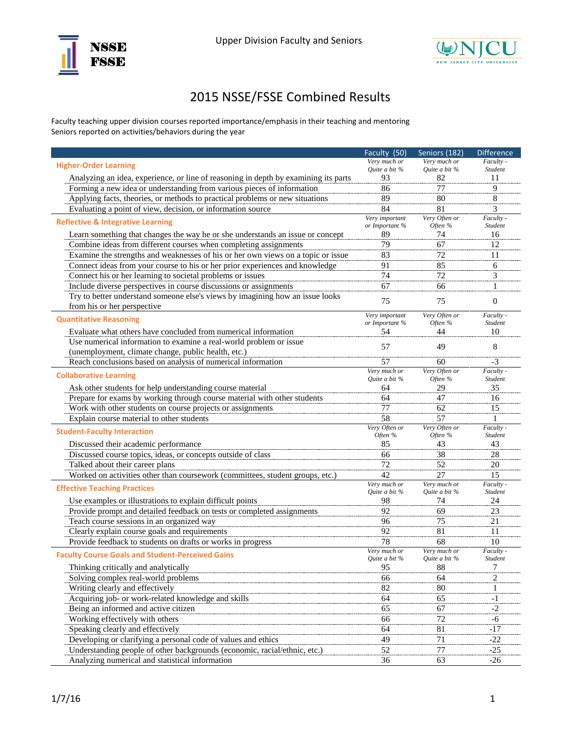



## 2015 NSSE/FSSE Combined Results

Faculty teaching upper division courses reported importance/emphasis in their teaching and mentoring Seniors reported on activities/behaviors during the year

|                                                                                                                                                               | Faculty (50)                  | Seniors (182)                 | <b>Difference</b>    |
|---------------------------------------------------------------------------------------------------------------------------------------------------------------|-------------------------------|-------------------------------|----------------------|
| <b>Higher-Order Learning</b>                                                                                                                                  | Very much or                  | Very much or                  | Faculty -            |
|                                                                                                                                                               | Quite a bit %<br>93           | Quite a bit %                 | Student              |
| Analyzing an idea, experience, or line of reasoning in depth by examining its parts<br>Forming a new idea or understanding from various pieces of information | 86                            | 82<br>77                      | 11<br>9              |
| Applying facts, theories, or methods to practical problems or new situations                                                                                  | 89                            | 80                            | $\,8\,$              |
|                                                                                                                                                               | 84                            | 81                            | 3                    |
| Evaluating a point of view, decision, or information source                                                                                                   | Very important                | Very Often or                 | Faculty -            |
| <b>Reflective &amp; Integrative Learning</b>                                                                                                                  | or Important %                | Often %                       | Student              |
| Learn something that changes the way he or she understands an issue or concept                                                                                | 89                            | 74                            | 16                   |
| Combine ideas from different courses when completing assignments                                                                                              | 79                            | 67                            | 12                   |
| Examine the strengths and weaknesses of his or her own views on a topic or issue                                                                              | 83                            | 72                            | 11                   |
| Connect ideas from your course to his or her prior experiences and knowledge                                                                                  | 91                            | 85                            | 6                    |
| Connect his or her learning to societal problems or issues                                                                                                    | 74                            | 72                            | 3                    |
| Include diverse perspectives in course discussions or assignments                                                                                             | 67                            | 66                            | $\mathbf{1}$         |
| Try to better understand someone else's views by imagining how an issue looks                                                                                 | 75                            | 75                            | $\mathbf{0}$         |
| from his or her perspective                                                                                                                                   |                               |                               |                      |
| <b>Quantitative Reasoning</b>                                                                                                                                 | Very important                | Very Often or                 | Faculty -            |
|                                                                                                                                                               | or Important %                | Often %                       | Student              |
| Evaluate what others have concluded from numerical information                                                                                                | 54                            | 44                            | 10                   |
| Use numerical information to examine a real-world problem or issue                                                                                            | 57                            | 49                            | 8                    |
| (unemployment, climate change, public health, etc.)                                                                                                           | 57                            |                               | $-3$                 |
| Reach conclusions based on analysis of numerical information                                                                                                  | Very much or                  | 60<br>Very Often or           | Faculty -            |
| <b>Collaborative Learning</b>                                                                                                                                 | Ouite a bit %                 | Often %                       | Student              |
| Ask other students for help understanding course material                                                                                                     | 64                            | 29                            | 35                   |
| Prepare for exams by working through course material with other students                                                                                      | 64                            | 47                            | 16                   |
| Work with other students on course projects or assignments                                                                                                    | 77                            | 62                            | 15                   |
| Explain course material to other students                                                                                                                     | 58                            | 57                            |                      |
| <b>Student-Faculty Interaction</b>                                                                                                                            | Very Often or                 | Very Often or                 | Faculty -            |
|                                                                                                                                                               | Often %                       | Often %                       | Student              |
| Discussed their academic performance                                                                                                                          | 85                            | 43                            | 43                   |
| Discussed course topics, ideas, or concepts outside of class                                                                                                  | 66                            | 38                            | 28                   |
| Talked about their career plans                                                                                                                               | 72                            | 52                            | 20                   |
| Worked on activities other than coursework (committees, student groups, etc.)                                                                                 | 42                            | 27                            | 15                   |
| <b>Effective Teaching Practices</b>                                                                                                                           | Very much or<br>Quite a bit % | Very much or<br>Quite a bit % | Faculty -<br>Student |
| Use examples or illustrations to explain difficult points                                                                                                     | 98                            | 74                            | 24                   |
| Provide prompt and detailed feedback on tests or completed assignments                                                                                        | 92                            | 69                            | 23                   |
| Teach course sessions in an organized way                                                                                                                     | 96                            | 75                            | 21                   |
| Clearly explain course goals and requirements                                                                                                                 | 92                            | 81                            | 11                   |
| Provide feedback to students on drafts or works in progress                                                                                                   | 78                            | 68                            | 10                   |
|                                                                                                                                                               | Very much or                  | Very much or                  | Faculty -            |
| <b>Faculty Course Goals and Student-Perceived Gains</b>                                                                                                       | Quite a bit %                 | Quite a bit %                 | Student              |
| Thinking critically and analytically                                                                                                                          | 95                            | 88                            | 7                    |
| Solving complex real-world problems                                                                                                                           | 66                            | 64                            | $\overline{2}$       |
| Writing clearly and effectively                                                                                                                               | 82                            | 80                            |                      |
| Acquiring job- or work-related knowledge and skills                                                                                                           | 64                            | 65                            | $-1$                 |
| Being an informed and active citizen                                                                                                                          | 65                            | 67                            | $-2$                 |
| Working effectively with others                                                                                                                               | 66                            | $\overline{72}$               | $-6$                 |
| Speaking clearly and effectively                                                                                                                              | 64                            | 81                            | $-17$                |
| Developing or clarifying a personal code of values and ethics                                                                                                 | 49                            | 71                            | $-22$                |
| Understanding people of other backgrounds (economic, racial/ethnic, etc.)                                                                                     | 52                            | 77                            | $-25$                |
| Analyzing numerical and statistical information                                                                                                               | 36                            | 63                            | $-26$                |